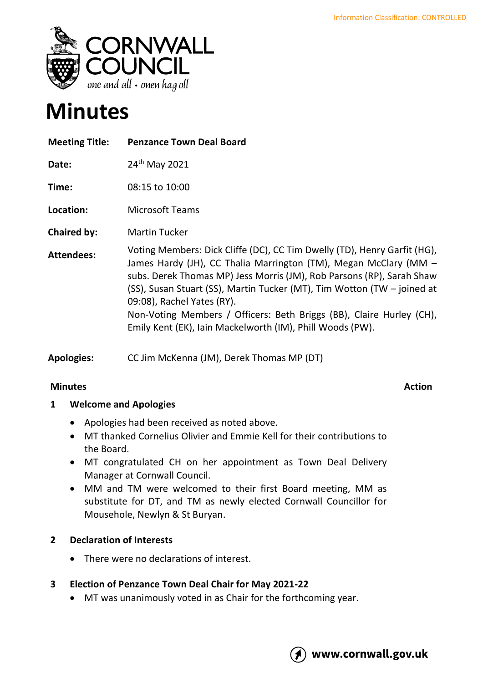

# **Minutes**

| <b>Meeting Title:</b> | <b>Penzance Town Deal Board</b>                                                                                                                                                                                                                                                                                                                                                                                                                                     |
|-----------------------|---------------------------------------------------------------------------------------------------------------------------------------------------------------------------------------------------------------------------------------------------------------------------------------------------------------------------------------------------------------------------------------------------------------------------------------------------------------------|
| Date:                 | 24 <sup>th</sup> May 2021                                                                                                                                                                                                                                                                                                                                                                                                                                           |
| Time:                 | 08:15 to 10:00                                                                                                                                                                                                                                                                                                                                                                                                                                                      |
| Location:             | <b>Microsoft Teams</b>                                                                                                                                                                                                                                                                                                                                                                                                                                              |
| <b>Chaired by:</b>    | <b>Martin Tucker</b>                                                                                                                                                                                                                                                                                                                                                                                                                                                |
| <b>Attendees:</b>     | Voting Members: Dick Cliffe (DC), CC Tim Dwelly (TD), Henry Garfit (HG),<br>James Hardy (JH), CC Thalia Marrington (TM), Megan McClary (MM -<br>subs. Derek Thomas MP) Jess Morris (JM), Rob Parsons (RP), Sarah Shaw<br>(SS), Susan Stuart (SS), Martin Tucker (MT), Tim Wotton (TW - joined at<br>09:08), Rachel Yates (RY).<br>Non-Voting Members / Officers: Beth Briggs (BB), Claire Hurley (CH),<br>Emily Kent (EK), Iain Mackelworth (IM), Phill Woods (PW). |

**Apologies:** CC Jim McKenna (JM), Derek Thomas MP (DT)

### **Minutes** Action

# **1 Welcome and Apologies**

- Apologies had been received as noted above.
- MT thanked Cornelius Olivier and Emmie Kell for their contributions to the Board.
- MT congratulated CH on her appointment as Town Deal Delivery Manager at Cornwall Council.
- MM and TM were welcomed to their first Board meeting, MM as substitute for DT, and TM as newly elected Cornwall Councillor for Mousehole, Newlyn & St Buryan.

# **2 Declaration of Interests**

- There were no declarations of interest.
- **3 Election of Penzance Town Deal Chair for May 2021-22**
	- MT was unanimously voted in as Chair for the forthcoming year.

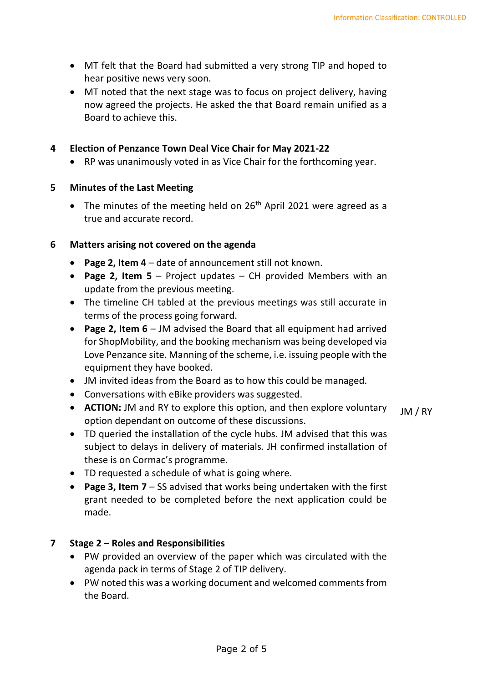- MT felt that the Board had submitted a very strong TIP and hoped to hear positive news very soon.
- MT noted that the next stage was to focus on project delivery, having now agreed the projects. He asked the that Board remain unified as a Board to achieve this.

#### **4 Election of Penzance Town Deal Vice Chair for May 2021-22**

• RP was unanimously voted in as Vice Chair for the forthcoming year.

#### **5 Minutes of the Last Meeting**

• The minutes of the meeting held on  $26<sup>th</sup>$  April 2021 were agreed as a true and accurate record.

#### **6 Matters arising not covered on the agenda**

- **Page 2, Item 4** date of announcement still not known.
- **Page 2, Item 5** Project updates CH provided Members with an update from the previous meeting.
- The timeline CH tabled at the previous meetings was still accurate in terms of the process going forward.
- **Page 2, Item 6** JM advised the Board that all equipment had arrived for ShopMobility, and the booking mechanism was being developed via Love Penzance site. Manning of the scheme, i.e. issuing people with the equipment they have booked.
- JM invited ideas from the Board as to how this could be managed.
- Conversations with eBike providers was suggested.
- **ACTION:** JM and RY to explore this option, and then explore voluntary option dependant on outcome of these discussions. JM / RY
- TD queried the installation of the cycle hubs. JM advised that this was subject to delays in delivery of materials. JH confirmed installation of these is on Cormac's programme.
- TD requested a schedule of what is going where.
- **Page 3, Item 7** SS advised that works being undertaken with the first grant needed to be completed before the next application could be made.

#### **7 Stage 2 – Roles and Responsibilities**

- PW provided an overview of the paper which was circulated with the agenda pack in terms of Stage 2 of TIP delivery.
- PW noted this was a working document and welcomed comments from the Board.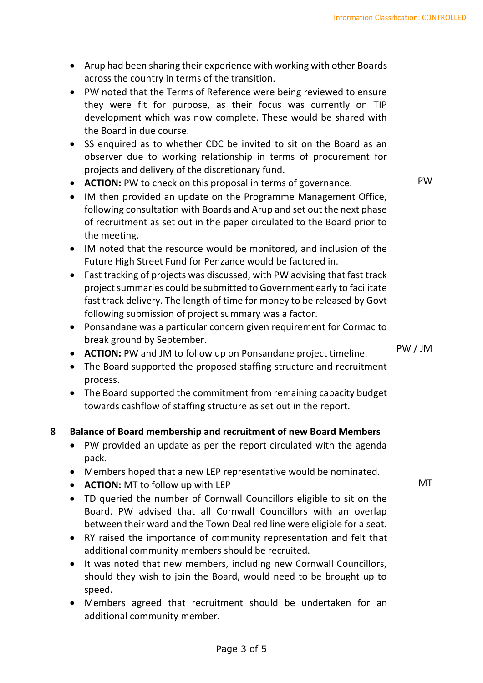- Arup had been sharing their experience with working with other Boards across the country in terms of the transition.
- PW noted that the Terms of Reference were being reviewed to ensure they were fit for purpose, as their focus was currently on TIP development which was now complete. These would be shared with the Board in due course.
- SS enquired as to whether CDC be invited to sit on the Board as an observer due to working relationship in terms of procurement for projects and delivery of the discretionary fund.
- **ACTION:** PW to check on this proposal in terms of governance.
- IM then provided an update on the Programme Management Office, following consultation with Boards and Arup and set out the next phase of recruitment as set out in the paper circulated to the Board prior to the meeting.
- IM noted that the resource would be monitored, and inclusion of the Future High Street Fund for Penzance would be factored in.
- Fast tracking of projects was discussed, with PW advising that fast track project summaries could be submitted to Government early to facilitate fast track delivery. The length of time for money to be released by Govt following submission of project summary was a factor.
- Ponsandane was a particular concern given requirement for Cormac to break ground by September.
- **ACTION:** PW and JM to follow up on Ponsandane project timeline.
- The Board supported the proposed staffing structure and recruitment process.
- The Board supported the commitment from remaining capacity budget towards cashflow of staffing structure as set out in the report.

# **8 Balance of Board membership and recruitment of new Board Members**

- PW provided an update as per the report circulated with the agenda pack.
- Members hoped that a new LEP representative would be nominated.
- **ACTION:** MT to follow up with LEP
- TD queried the number of Cornwall Councillors eligible to sit on the Board. PW advised that all Cornwall Councillors with an overlap between their ward and the Town Deal red line were eligible for a seat.
- RY raised the importance of community representation and felt that additional community members should be recruited.
- It was noted that new members, including new Cornwall Councillors, should they wish to join the Board, would need to be brought up to speed.
- Members agreed that recruitment should be undertaken for an additional community member.

PW

PW / JM

MT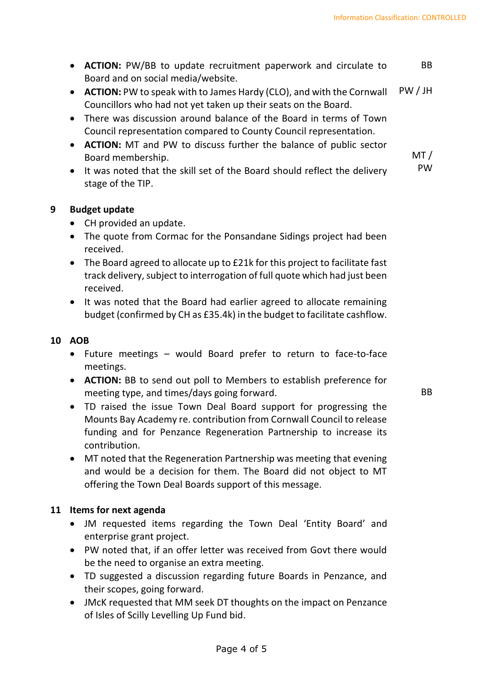MT /

- **ACTION:** PW/BB to update recruitment paperwork and circulate to Board and on social media/website. BB
- **ACTION:** PW to speak with to James Hardy (CLO), and with the Cornwall Councillors who had not yet taken up their seats on the Board. PW / JH
- There was discussion around balance of the Board in terms of Town Council representation compared to County Council representation.
- **ACTION:** MT and PW to discuss further the balance of public sector Board membership.
- It was noted that the skill set of the Board should reflect the delivery stage of the TIP. PW

#### **9 Budget update**

- CH provided an update.
- The quote from Cormac for the Ponsandane Sidings project had been received.
- The Board agreed to allocate up to £21k for this project to facilitate fast track delivery, subject to interrogation of full quote which had just been received.
- It was noted that the Board had earlier agreed to allocate remaining budget (confirmed by CH as £35.4k) in the budget to facilitate cashflow.

#### **10 AOB**

- Future meetings would Board prefer to return to face-to-face meetings.
- **ACTION:** BB to send out poll to Members to establish preference for meeting type, and times/days going forward.

BB

- TD raised the issue Town Deal Board support for progressing the Mounts Bay Academy re. contribution from Cornwall Council to release funding and for Penzance Regeneration Partnership to increase its contribution.
- MT noted that the Regeneration Partnership was meeting that evening and would be a decision for them. The Board did not object to MT offering the Town Deal Boards support of this message.

### **11 Items for next agenda**

- JM requested items regarding the Town Deal 'Entity Board' and enterprise grant project.
- PW noted that, if an offer letter was received from Govt there would be the need to organise an extra meeting.
- TD suggested a discussion regarding future Boards in Penzance, and their scopes, going forward.
- JMcK requested that MM seek DT thoughts on the impact on Penzance of Isles of Scilly Levelling Up Fund bid.